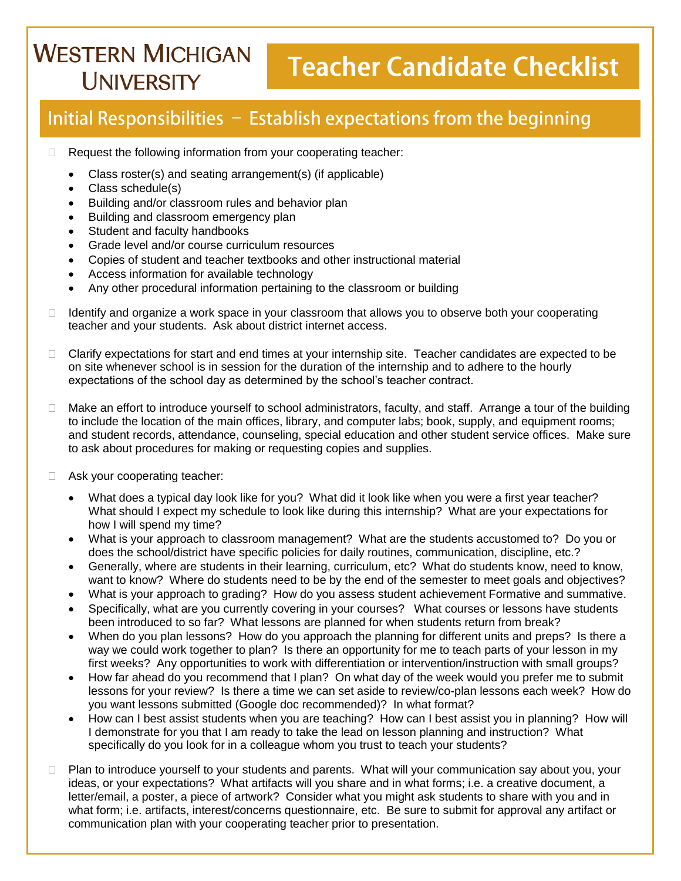# **WESTERN MICHIGAN UNIVERSITY**

# **Teacher Candidate Checklist**

## Initial Responsibilities - Establish expectations from the beginning

- □ Request the following information from your cooperating teacher:
	- Class roster(s) and seating arrangement(s) (if applicable)
	- Class schedule(s)
	- Building and/or classroom rules and behavior plan
	- Building and classroom emergency plan
	- Student and faculty handbooks
	- Grade level and/or course curriculum resources
	- Copies of student and teacher textbooks and other instructional material
	- Access information for available technology
	- Any other procedural information pertaining to the classroom or building
- $\Box$  Identify and organize a work space in your classroom that allows you to observe both your cooperating teacher and your students. Ask about district internet access.
- $\Box$  Clarify expectations for start and end times at your internship site. Teacher candidates are expected to be on site whenever school is in session for the duration of the internship and to adhere to the hourly expectations of the school day as determined by the school's teacher contract.
- $\Box$  Make an effort to introduce yourself to school administrators, faculty, and staff. Arrange a tour of the building to include the location of the main offices, library, and computer labs; book, supply, and equipment rooms; and student records, attendance, counseling, special education and other student service offices. Make sure to ask about procedures for making or requesting copies and supplies.
- □ Ask your cooperating teacher:
	- What does a typical day look like for you? What did it look like when you were a first year teacher? What should I expect my schedule to look like during this internship? What are your expectations for how I will spend my time?
	- What is your approach to classroom management? What are the students accustomed to? Do you or does the school/district have specific policies for daily routines, communication, discipline, etc.?
	- Generally, where are students in their learning, curriculum, etc? What do students know, need to know, want to know? Where do students need to be by the end of the semester to meet goals and objectives?
	- What is your approach to grading? How do you assess student achievement Formative and summative.
	- Specifically, what are you currently covering in your courses? What courses or lessons have students been introduced to so far? What lessons are planned for when students return from break?
	- When do you plan lessons? How do you approach the planning for different units and preps? Is there a way we could work together to plan? Is there an opportunity for me to teach parts of your lesson in my first weeks? Any opportunities to work with differentiation or intervention/instruction with small groups?
	- How far ahead do you recommend that I plan? On what day of the week would you prefer me to submit lessons for your review? Is there a time we can set aside to review/co-plan lessons each week? How do you want lessons submitted (Google doc recommended)? In what format?
	- How can I best assist students when you are teaching? How can I best assist you in planning? How will I demonstrate for you that I am ready to take the lead on lesson planning and instruction? What specifically do you look for in a colleague whom you trust to teach your students?
- □ Plan to introduce yourself to your students and parents. What will your communication say about you, your ideas, or your expectations? What artifacts will you share and in what forms; i.e. a creative document, a letter/email, a poster, a piece of artwork? Consider what you might ask students to share with you and in what form; i.e. artifacts, interest/concerns questionnaire, etc. Be sure to submit for approval any artifact or communication plan with your cooperating teacher prior to presentation.